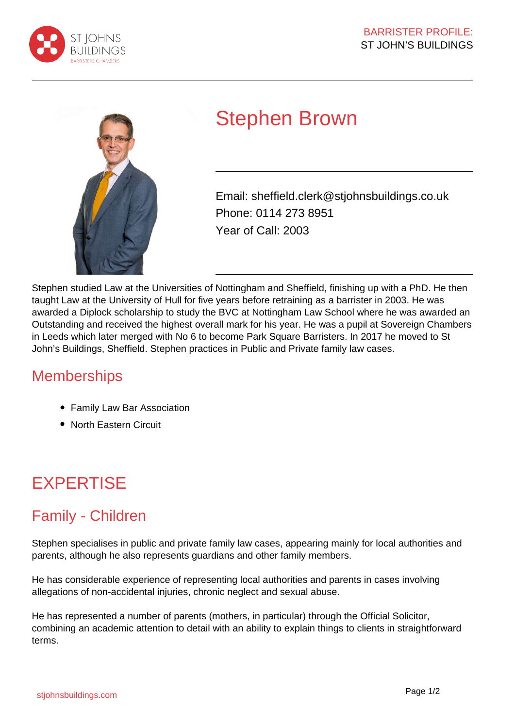



# Stephen Brown

Email: sheffield.clerk@stjohnsbuildings.co.uk Phone: 0114 273 8951 Year of Call: 2003

Stephen studied Law at the Universities of Nottingham and Sheffield, finishing up with a PhD. He then taught Law at the University of Hull for five years before retraining as a barrister in 2003. He was awarded a Diplock scholarship to study the BVC at Nottingham Law School where he was awarded an Outstanding and received the highest overall mark for his year. He was a pupil at Sovereign Chambers in Leeds which later merged with No 6 to become Park Square Barristers. In 2017 he moved to St John's Buildings, Sheffield. Stephen practices in Public and Private family law cases.

### **Memberships**

- Family Law Bar Association
- North Eastern Circuit

## EXPERTISE

### Family - Children

Stephen specialises in public and private family law cases, appearing mainly for local authorities and parents, although he also represents guardians and other family members.

He has considerable experience of representing local authorities and parents in cases involving allegations of non-accidental injuries, chronic neglect and sexual abuse.

He has represented a number of parents (mothers, in particular) through the Official Solicitor, combining an academic attention to detail with an ability to explain things to clients in straightforward terms.